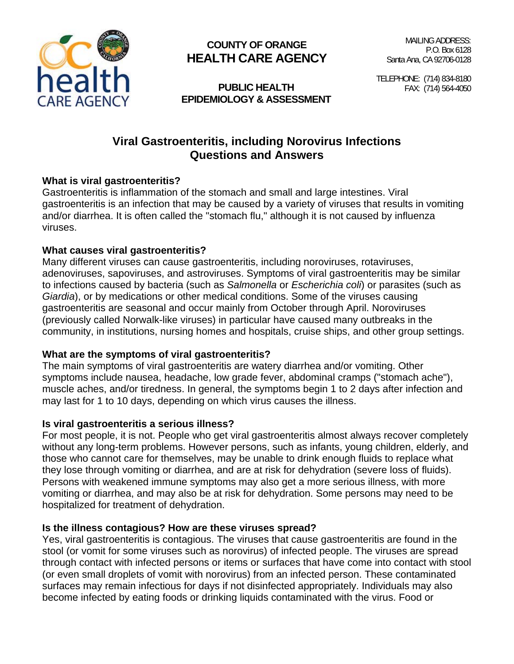

# **COUNTY OF ORANGE HEALTH CARE AGENCY**

MAILING ADDRESS: P.O. Box 6128 Santa Ana, CA 92706-0128

**PUBLIC HEALTH FAX:** (714) 564-4050 **EPIDEMIOLOGY & ASSESSMENT** 

TELEPHONE: (714) 834-8180

# **Viral Gastroenteritis, including Norovirus Infections Questions and Answers**

#### **What is viral gastroenteritis?**

Gastroenteritis is inflammation of the stomach and small and large intestines. Viral gastroenteritis is an infection that may be caused by a variety of viruses that results in vomiting and/or diarrhea. It is often called the "stomach flu," although it is not caused by influenza viruses.

#### **What causes viral gastroenteritis?**

Many different viruses can cause gastroenteritis, including noroviruses, rotaviruses, adenoviruses, sapoviruses, and astroviruses. Symptoms of viral gastroenteritis may be similar to infections caused by bacteria (such as *Salmonella* or *Escherichia coli*) or parasites (such as *Giardia*), or by medications or other medical conditions. Some of the viruses causing gastroenteritis are seasonal and occur mainly from October through April. Noroviruses (previously called Norwalk-like viruses) in particular have caused many outbreaks in the community, in institutions, nursing homes and hospitals, cruise ships, and other group settings.

# **What are the symptoms of viral gastroenteritis?**

The main symptoms of viral gastroenteritis are watery diarrhea and/or vomiting. Other symptoms include nausea, headache, low grade fever, abdominal cramps ("stomach ache"), muscle aches, and/or tiredness. In general, the symptoms begin 1 to 2 days after infection and may last for 1 to 10 days, depending on which virus causes the illness.

# **Is viral gastroenteritis a serious illness?**

For most people, it is not. People who get viral gastroenteritis almost always recover completely without any long-term problems. However persons, such as infants, young children, elderly, and those who cannot care for themselves, may be unable to drink enough fluids to replace what they lose through vomiting or diarrhea, and are at risk for dehydration (severe loss of fluids). Persons with weakened immune symptoms may also get a more serious illness, with more vomiting or diarrhea, and may also be at risk for dehydration. Some persons may need to be hospitalized for treatment of dehydration.

# **Is the illness contagious? How are these viruses spread?**

Yes, viral gastroenteritis is contagious. The viruses that cause gastroenteritis are found in the stool (or vomit for some viruses such as norovirus) of infected people. The viruses are spread through contact with infected persons or items or surfaces that have come into contact with stool (or even small droplets of vomit with norovirus) from an infected person. These contaminated surfaces may remain infectious for days if not disinfected appropriately. Individuals may also become infected by eating foods or drinking liquids contaminated with the virus. Food or